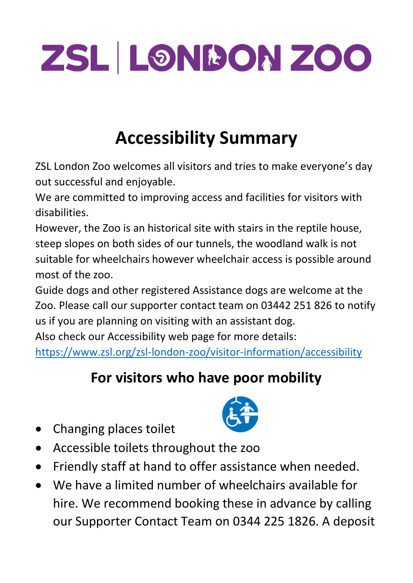# ZSL LONDON ZOO

## **Accessibility Summary**

ZSL London Zoo welcomes all visitors and tries to make everyone's day out successful and enjoyable.

We are committed to improving access and facilities for visitors with disabilities.

However, the Zoo is an historical site with stairs in the reptile house, steep slopes on both sides of our tunnels, the woodland walk is not suitable for wheelchairs however wheelchair access is possible around most of the zoo.

Guide dogs and other registered Assistance dogs are welcome at the Zoo. Please call our supporter contact team on 03442 251 826 to notify us if you are planning on visiting with an assistant dog.

Also check our Accessibility web page for more details:

<https://www.zsl.org/zsl-london-zoo/visitor-information/accessibility>

#### **For visitors who have poor mobility**

• Changing places toilet



- Accessible toilets throughout the zoo
- Friendly staff at hand to offer assistance when needed.
- We have a limited number of wheelchairs available for hire. We recommend booking these in advance by calling our Supporter Contact Team on 0344 225 1826. A deposit